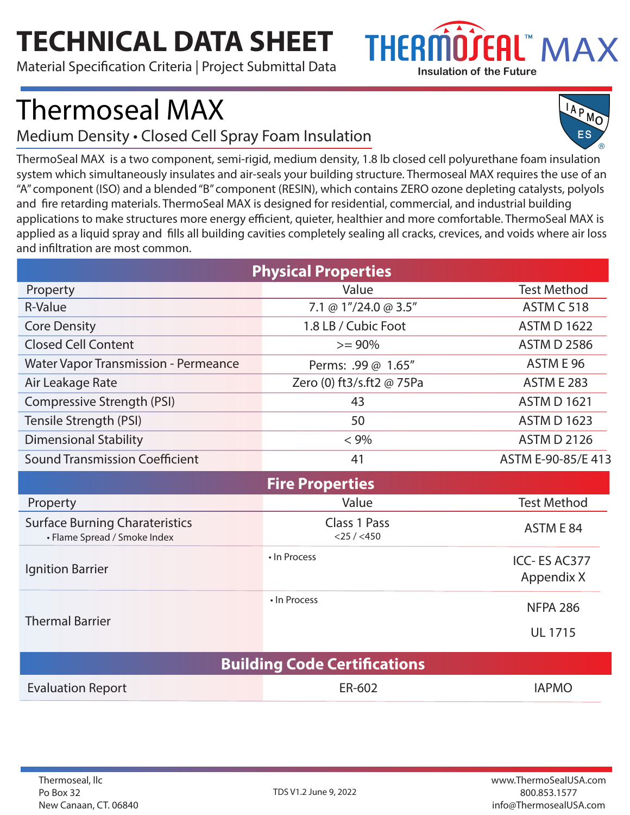## **TECHNICAL DATA SHEET**

Material Specification Criteria | Project Submittal Data



## Thermoseal MAX

Medium Density • Closed Cell Spray Foam Insulation

IAPMO

ThermoSeal MAX is a two component, semi-rigid, medium density, 1.8 lb closed cell polyurethane foam insulation system which simultaneously insulates and air-seals your building structure. Thermoseal MAX requires the use of an "A" component (ISO) and a blended "B" component (RESIN), which contains ZERO ozone depleting catalysts, polyols and fire retarding materials. ThermoSeal MAX is designed for residential, commercial, and industrial building applications to make structures more energy efficient, quieter, healthier and more comfortable. ThermoSeal MAX is applied as a liquid spray and fills all building cavities completely sealing all cracks, crevices, and voids where air loss and infiltration are most common.

| <b>Physical Properties</b>                                            |                                  |                    |  |
|-----------------------------------------------------------------------|----------------------------------|--------------------|--|
| Property                                                              | Value                            | <b>Test Method</b> |  |
| R-Value                                                               | 7.1 @ $1''/24.0$ @ 3.5"          | <b>ASTM C 518</b>  |  |
| <b>Core Density</b>                                                   | 1.8 LB / Cubic Foot              | <b>ASTM D 1622</b> |  |
| <b>Closed Cell Content</b>                                            | $>= 90\%$                        | <b>ASTM D 2586</b> |  |
| <b>Water Vapor Transmission - Permeance</b>                           | Perms: .99 @ 1.65"               | ASTM E 96          |  |
| Air Leakage Rate                                                      | Zero (0) ft3/s.ft2 @ 75Pa        | <b>ASTM E 283</b>  |  |
| Compressive Strength (PSI)                                            | 43                               | <b>ASTM D 1621</b> |  |
| Tensile Strength (PSI)                                                | 50                               | <b>ASTM D 1623</b> |  |
| <b>Dimensional Stability</b>                                          | $< 9\%$                          | <b>ASTM D 2126</b> |  |
| <b>Sound Transmission Coefficient</b>                                 | 41                               | ASTM E-90-85/E 413 |  |
| <b>Fire Properties</b>                                                |                                  |                    |  |
| Property                                                              | Value                            | <b>Test Method</b> |  |
| <b>Surface Burning Charateristics</b><br>• Flame Spread / Smoke Index | Class 1 Pass<br>$<$ 25 / $<$ 450 | ASTM E 84          |  |

| Ignition Barrier       | • In Process | ICC-ES AC377<br>Appendix X        |
|------------------------|--------------|-----------------------------------|
| <b>Thermal Barrier</b> | • In Process | <b>NFPA 286</b><br><b>UL 1715</b> |

| <b>Building Code Certifications</b> |        |              |  |
|-------------------------------------|--------|--------------|--|
| <b>Evaluation Report</b>            | ER-602 | <b>IAPMO</b> |  |